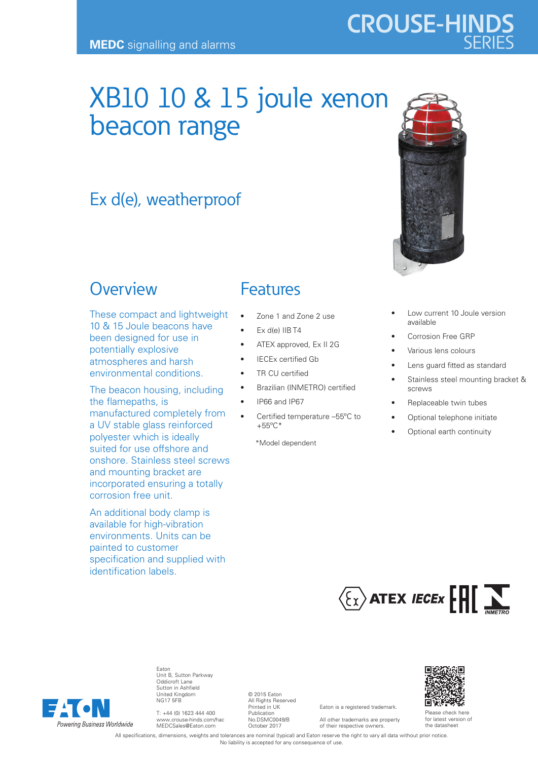# XB10 10 & 15 joule xenon beacon range

## Ex d(e), weatherproof

### **Overview**

These compact and lightweight 10 & 15 Joule beacons have been designed for use in potentially explosive atmospheres and harsh environmental conditions.

The beacon housing, including the flamepaths, is manufactured completely from a UV stable glass reinforced polyester which is ideally suited for use offshore and onshore. Stainless steel screws and mounting bracket are incorporated ensuring a totally corrosion free unit.

An additional body clamp is available for high-vibration environments. Units can be painted to customer specification and supplied with identification labels.

### Features

- Zone 1 and Zone 2 use
- Ex d(e) IIB T4
- ATEX approved, Ex II 2G
- IECEx certified Gb
- TR CU certified
- Brazilian (INMETRO) certified
- IP66 and IP67
- Certified temperature –55ºC to +55ºC\*

\*Model dependent

- Low current 10 Joule version available Corrosion Free GRP
- Various lens colours
- Lens guard fitted as standard
- Stainless steel mounting bracket & screws
- Replaceable twin tubes
- Optional telephone initiate
- Optional earth continuity





Eaton Unit B, Sutton Parkway Oddicroft Lane Sutton in Ashfield United Kingdom NG17 5FB

T: +44 (0) 1623 444 400 www.crouse-hinds.com/hac MEDCSales@Eaton.com

© 2015 Eaton All Rights Reserved Printed in UK Publication No.DSMC0049/B October 2017

Eaton is a registered trademark. All other trademarks are property

of their respective owners.



Please check here for latest version of the datasheet

All specifications, dimensions, weights and tolerances are nominal (typical) and Eaton reserve the right to vary all data without prior notice. No liability is accepted for any consequence of use.